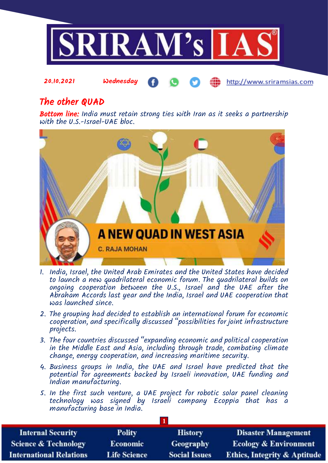

### 20.10.2021 Wednesday http://www.sriramsias.com

# The other QUAD

**Bottom line:** India must retain strong ties with Iran as it seeks a partnership with the U.S.-Israel-UAE bloc.



- 1. India, Israel, the United Arab Emirates and the United States have decided to launch a new quadrilateral economic forum. The quadrilateral builds on ongoing cooperation between the U.S., Israel and the UAE after the Abraham Accords last year and the India, Israel and UAE cooperation that was launched since.
- 2. The grouping had decided to establish an international forum for economic cooperation, and specifically discussed "possibilities for joint infrastructure projects.
- 3. The four countries discussed "expanding economic and political cooperation in the Middle East and Asia, including through trade, combating climate change, energy cooperation, and increasing maritime security.
- 4. Business groups in India, the UAE and Israel have predicted that the potential for agreements backed by Israeli innovation, UAE funding and Indian manufacturing.
- 5. In the first such venture, a UAE project for robotic solar panel cleaning technology was signed by Israeli company Ecoppia that has a manufacturing base in India.

| <b>Internal Security</b>        | <b>Polity</b>       | <b>History</b>       | <b>Disaster Management</b>              |  |  |
|---------------------------------|---------------------|----------------------|-----------------------------------------|--|--|
| <b>Science &amp; Technology</b> | <b>Economic</b>     | <b>Geography</b>     | <b>Ecology &amp; Environment</b>        |  |  |
| <b>International Relations</b>  | <b>Life Science</b> | <b>Social Issues</b> | <b>Ethics, Integrity &amp; Aptitude</b> |  |  |